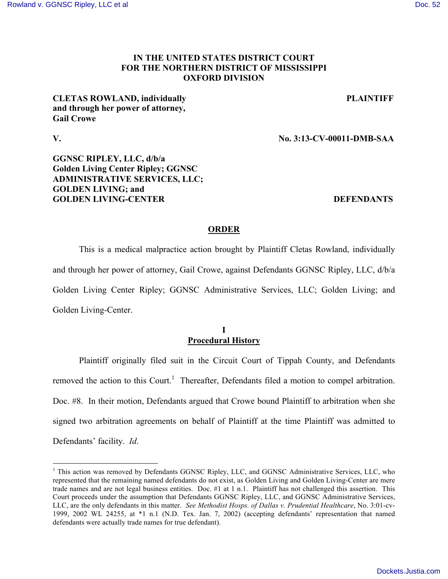### **IN THE UNITED STATES DISTRICT COURT FOR THE NORTHERN DISTRICT OF MISSISSIPPI OXFORD DIVISION**

# **CLETAS ROWLAND, individually PLAINTIFF and through her power of attorney, Gail Crowe**

 $\overline{a}$ 

**V. No. 3:13-CV-00011-DMB-SAA**

# **GGNSC RIPLEY, LLC, d/b/a Golden Living Center Ripley; GGNSC ADMINISTRATIVE SERVICES, LLC; GOLDEN LIVING; and GOLDEN LIVING-CENTER DEFENDANTS**

# **ORDER**

 This is a medical malpractice action brought by Plaintiff Cletas Rowland, individually and through her power of attorney, Gail Crowe, against Defendants GGNSC Ripley, LLC, d/b/a Golden Living Center Ripley; GGNSC Administrative Services, LLC; Golden Living; and Golden Living-Center.

### **I Procedural History**

Plaintiff originally filed suit in the Circuit Court of Tippah County, and Defendants removed the action to this Court.<sup>1</sup> Thereafter, Defendants filed a motion to compel arbitration. Doc. #8. In their motion, Defendants argued that Crowe bound Plaintiff to arbitration when she signed two arbitration agreements on behalf of Plaintiff at the time Plaintiff was admitted to Defendants' facility. *Id*.

<sup>&</sup>lt;sup>1</sup> This action was removed by Defendants GGNSC Ripley, LLC, and GGNSC Administrative Services, LLC, who represented that the remaining named defendants do not exist, as Golden Living and Golden Living-Center are mere trade names and are not legal business entities. Doc. #1 at 1 n.1. Plaintiff has not challenged this assertion. This Court proceeds under the assumption that Defendants GGNSC Ripley, LLC, and GGNSC Administrative Services, LLC, are the only defendants in this matter. *See Methodist Hosps. of Dallas v. Prudential Healthcare*, No. 3:01-cv-1999, 2002 WL 24255, at \*1 n.1 (N.D. Tex. Jan. 7, 2002) (accepting defendants' representation that named defendants were actually trade names for true defendant).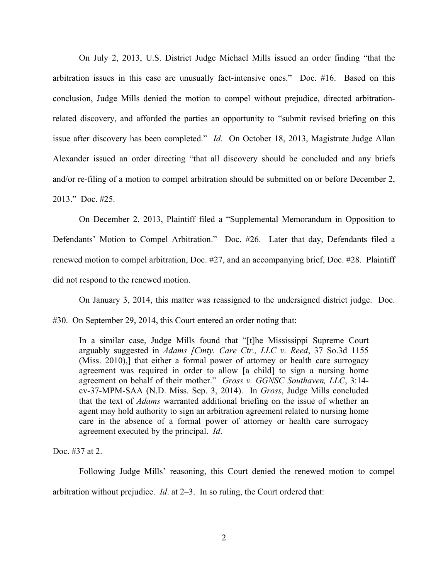On July 2, 2013, U.S. District Judge Michael Mills issued an order finding "that the arbitration issues in this case are unusually fact-intensive ones." Doc. #16. Based on this conclusion, Judge Mills denied the motion to compel without prejudice, directed arbitrationrelated discovery, and afforded the parties an opportunity to "submit revised briefing on this issue after discovery has been completed." *Id*. On October 18, 2013, Magistrate Judge Allan Alexander issued an order directing "that all discovery should be concluded and any briefs and/or re-filing of a motion to compel arbitration should be submitted on or before December 2, 2013." Doc. #25.

On December 2, 2013, Plaintiff filed a "Supplemental Memorandum in Opposition to Defendants' Motion to Compel Arbitration." Doc. #26. Later that day, Defendants filed a renewed motion to compel arbitration, Doc. #27, and an accompanying brief, Doc. #28. Plaintiff did not respond to the renewed motion.

On January 3, 2014, this matter was reassigned to the undersigned district judge. Doc. #30. On September 29, 2014, this Court entered an order noting that:

In a similar case, Judge Mills found that "[t]he Mississippi Supreme Court arguably suggested in *Adams [Cmty. Care Ctr., LLC v. Reed*, 37 So.3d 1155 (Miss. 2010),] that either a formal power of attorney or health care surrogacy agreement was required in order to allow [a child] to sign a nursing home agreement on behalf of their mother." *Gross v. GGNSC Southaven, LLC*, 3:14 cv-37-MPM-SAA (N.D. Miss. Sep. 3, 2014). In *Gross*, Judge Mills concluded that the text of *Adams* warranted additional briefing on the issue of whether an agent may hold authority to sign an arbitration agreement related to nursing home care in the absence of a formal power of attorney or health care surrogacy agreement executed by the principal. *Id*.

Doc. #37 at 2.

Following Judge Mills' reasoning, this Court denied the renewed motion to compel arbitration without prejudice. *Id*. at 2–3. In so ruling, the Court ordered that: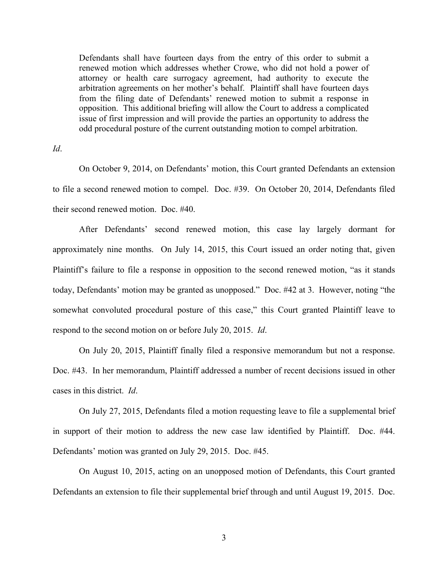Defendants shall have fourteen days from the entry of this order to submit a renewed motion which addresses whether Crowe, who did not hold a power of attorney or health care surrogacy agreement, had authority to execute the arbitration agreements on her mother's behalf. Plaintiff shall have fourteen days from the filing date of Defendants' renewed motion to submit a response in opposition. This additional briefing will allow the Court to address a complicated issue of first impression and will provide the parties an opportunity to address the odd procedural posture of the current outstanding motion to compel arbitration.

*Id*.

On October 9, 2014, on Defendants' motion, this Court granted Defendants an extension to file a second renewed motion to compel. Doc. #39. On October 20, 2014, Defendants filed their second renewed motion. Doc. #40.

After Defendants' second renewed motion, this case lay largely dormant for approximately nine months. On July 14, 2015, this Court issued an order noting that, given Plaintiff's failure to file a response in opposition to the second renewed motion, "as it stands today, Defendants' motion may be granted as unopposed." Doc. #42 at 3. However, noting "the somewhat convoluted procedural posture of this case," this Court granted Plaintiff leave to respond to the second motion on or before July 20, 2015. *Id*.

On July 20, 2015, Plaintiff finally filed a responsive memorandum but not a response. Doc. #43. In her memorandum, Plaintiff addressed a number of recent decisions issued in other cases in this district. *Id*.

On July 27, 2015, Defendants filed a motion requesting leave to file a supplemental brief in support of their motion to address the new case law identified by Plaintiff. Doc. #44. Defendants' motion was granted on July 29, 2015. Doc. #45.

On August 10, 2015, acting on an unopposed motion of Defendants, this Court granted Defendants an extension to file their supplemental brief through and until August 19, 2015. Doc.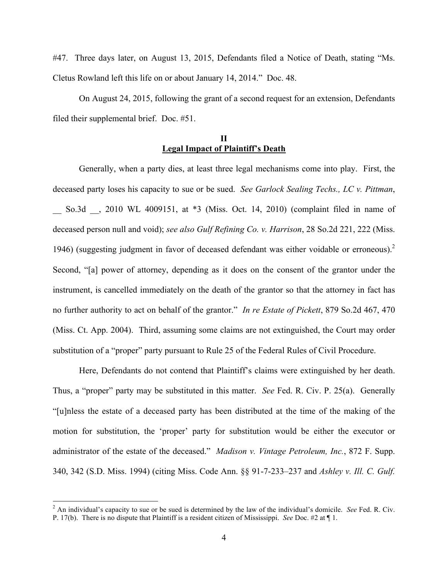#47. Three days later, on August 13, 2015, Defendants filed a Notice of Death, stating "Ms. Cletus Rowland left this life on or about January 14, 2014." Doc. 48.

On August 24, 2015, following the grant of a second request for an extension, Defendants filed their supplemental brief. Doc. #51.

### **II Legal Impact of Plaintiff's Death**

 Generally, when a party dies, at least three legal mechanisms come into play. First, the deceased party loses his capacity to sue or be sued. *See Garlock Sealing Techs., LC v. Pittman*, So.3d , 2010 WL 4009151, at \*3 (Miss. Oct. 14, 2010) (complaint filed in name of deceased person null and void); *see also Gulf Refining Co. v. Harrison*, 28 So.2d 221, 222 (Miss. 1946) (suggesting judgment in favor of deceased defendant was either voidable or erroneous). 2 Second, "[a] power of attorney, depending as it does on the consent of the grantor under the instrument, is cancelled immediately on the death of the grantor so that the attorney in fact has no further authority to act on behalf of the grantor." *In re Estate of Pickett*, 879 So.2d 467, 470 (Miss. Ct. App. 2004). Third, assuming some claims are not extinguished, the Court may order substitution of a "proper" party pursuant to Rule 25 of the Federal Rules of Civil Procedure.

Here, Defendants do not contend that Plaintiff's claims were extinguished by her death. Thus, a "proper" party may be substituted in this matter. *See* Fed. R. Civ. P. 25(a). Generally "[u]nless the estate of a deceased party has been distributed at the time of the making of the motion for substitution, the 'proper' party for substitution would be either the executor or administrator of the estate of the deceased." *Madison v. Vintage Petroleum, Inc.*, 872 F. Supp. 340, 342 (S.D. Miss. 1994) (citing Miss. Code Ann. §§ 91-7-233–237 and *Ashley v. Ill. C. Gulf.* 

 2 An individual's capacity to sue or be sued is determined by the law of the individual's domicile. *See* Fed. R. Civ. P. 17(b). There is no dispute that Plaintiff is a resident citizen of Mississippi. *See* Doc. #2 at ¶ 1.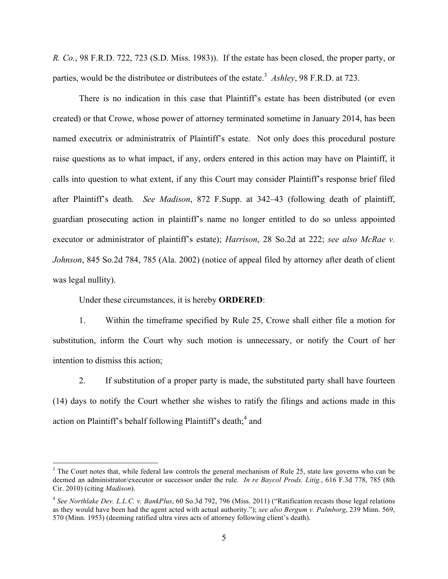*R. Co.*, 98 F.R.D. 722, 723 (S.D. Miss. 1983)). If the estate has been closed, the proper party, or parties, would be the distributee or distributees of the estate.<sup>3</sup> Ashley, 98 F.R.D. at 723.

There is no indication in this case that Plaintiff's estate has been distributed (or even created) or that Crowe, whose power of attorney terminated sometime in January 2014, has been named executrix or administratrix of Plaintiff's estate. Not only does this procedural posture raise questions as to what impact, if any, orders entered in this action may have on Plaintiff, it calls into question to what extent, if any this Court may consider Plaintiff's response brief filed after Plaintiff's death. *See Madison*, 872 F.Supp. at 342–43 (following death of plaintiff, guardian prosecuting action in plaintiff's name no longer entitled to do so unless appointed executor or administrator of plaintiff's estate); *Harrison*, 28 So.2d at 222; *see also McRae v. Johnson*, 845 So.2d 784, 785 (Ala. 2002) (notice of appeal filed by attorney after death of client was legal nullity).

Under these circumstances, it is hereby **ORDERED**:

 $\overline{a}$ 

1. Within the timeframe specified by Rule 25, Crowe shall either file a motion for substitution, inform the Court why such motion is unnecessary, or notify the Court of her intention to dismiss this action;

2. If substitution of a proper party is made, the substituted party shall have fourteen (14) days to notify the Court whether she wishes to ratify the filings and actions made in this action on Plaintiff's behalf following Plaintiff's death;<sup>4</sup> and

 $3$  The Court notes that, while federal law controls the general mechanism of Rule 25, state law governs who can be deemed an administrator/executor or successor under the rule. *In re Baycol Prods. Litig.*, 616 F.3d 778, 785 (8th Cir. 2010) (citing *Madison*).

<sup>4</sup> *See Northlake Dev. L.L.C. v. BankPlus*, 60 So.3d 792, 796 (Miss. 2011) ("Ratification recasts those legal relations as they would have been had the agent acted with actual authority."); *see also Bergum v. Palmborg*, 239 Minn. 569, 570 (Minn. 1953) (deeming ratified ultra vires acts of attorney following client's death).